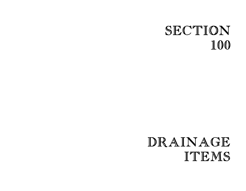# SECTION 100

# DRAINAGE ITEMS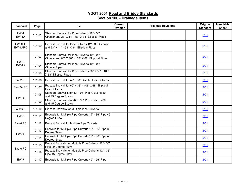| <b>Standard</b>   | Page   | <b>Title</b>                                                                                         | <b>Current</b><br><b>Revision</b> | <b>Previous Revisions</b> | Original<br><b>Standard</b> | Insertable<br><b>Sheet</b> |
|-------------------|--------|------------------------------------------------------------------------------------------------------|-----------------------------------|---------------------------|-----------------------------|----------------------------|
| $EW-1$<br>$EW-1A$ | 101.01 | Standard Endwall for Pipe Culverts 12" - 36"<br>Circular and 23" X 14" - 53" X 34" Elliptical Pipes  |                                   |                           | 2/01                        |                            |
| EW-1PC<br>EW-1APC | 101.02 | Precast Endwall for Pipe Culverts 12" - 36" Circular<br>and 23" X 14" - 53" X 34" Elliptical Pipes   |                                   |                           | 2/01                        |                            |
| $EW-2$            | 101.03 | Standard Endwall for Pipe Culverts 42" - 96"<br>Circular and 60" X 38" - 106" X 68" Elliptical Pipes |                                   |                           | 2/01                        |                            |
| EW-2A             | 101.04 | Standard Endwall for Pipe Culverts 42" - 96"<br><b>Circular Pipes</b>                                |                                   |                           | 2/01                        |                            |
|                   | 101.05 | Standard Endwall for Pipe Culverts 60" X 38" - 106"<br>X 68" Elliptical Pipes                        |                                   |                           | 2/01                        |                            |
| EW-2 PC           | 101.06 | Precast Endwall for 42" - 96" Circular Pipe Culverts                                                 |                                   |                           | 2/01                        |                            |
| EW-2A PC          | 101.07 | Precast Endwall for 60" x 38" - 106" x 68" Elliptical<br><b>Pipe Culverts</b>                        |                                   |                           | 2/01                        |                            |
| <b>EW-2S</b>      | 101.08 | Standard Endwalls for 42" - 96" Pipe Culverts 30<br>and 45 Degree Skews                              |                                   |                           | 2/01                        |                            |
|                   | 101.09 | Standard Endwalls for 42" - 96" Pipe Culverts 30<br>and 45 Degree Skews                              |                                   |                           | 2/01                        |                            |
| EW-2S PC          | 101.10 | Precast Endwalls for Multiple Pipe Culverts                                                          |                                   |                           | 2/01                        |                            |
| $EW-6$            | 101.11 | Endwalls for Multiple Pipe Culverts 12" - 36" Pipe 45<br>Degree Skew                                 |                                   |                           | 2/01                        |                            |
| EW-6 PC           | 101.12 | Precast Endwall for Multiple Pipe Culverts                                                           |                                   |                           | 2/01                        |                            |
| EW-6S             | 101.13 | Endwalls for Multiple Pipe Culverts 12" - 36" Pipe 30<br>Degree Skew                                 |                                   |                           | 2/01                        |                            |
|                   | 101.14 | Endwalls for Multiple Pipe Culverts 12" - 36" Pipe 45<br>Degree Skew                                 |                                   |                           | 2/01                        |                            |
| EW-6 PC           | 101.15 | Precast Endwalls for Multiple Pipe Culverts 12" - 36"<br>Pipe 30 Degree Skew                         |                                   |                           | 2/01                        |                            |
|                   | 101.16 | Precast Endwalls for Multiple Pipe Culverts 12" - 36"<br>Pipe 45 Degree Skew                         |                                   |                           | 2/01                        |                            |
| <b>EW-7</b>       |        | 101.17 Endwalls for Multiple Pipe Culverts 42" - 96" Pipe                                            |                                   |                           | 2/01                        |                            |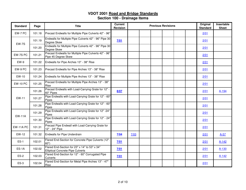| <b>Standard</b>  | Page   | <b>Title</b>                                                                              | <b>Current</b><br><b>Revision</b> |      |  | <b>Previous Revisions</b> |  | Original<br><b>Standard</b> | Insertable<br><b>Sheet</b> |
|------------------|--------|-------------------------------------------------------------------------------------------|-----------------------------------|------|--|---------------------------|--|-----------------------------|----------------------------|
| EW-7 PC          | 101.18 | Precast Endwalls for Multiple Pipe Culverts 42" - 96"                                     |                                   |      |  |                           |  | 2/01                        |                            |
| <b>EW-7S</b>     | 101.19 | Endwalls for Multiple Pipe Culverts 42" - 96" Pipe 30<br>Degree Skew                      | 7/01                              |      |  |                           |  | 2/01                        |                            |
|                  | 101.20 | Endwalls for Multiple Pipe Culverts 42" - 96" Pipe 30<br>Degree Skew                      |                                   |      |  |                           |  | 2/01                        |                            |
| EW-7S PC         | 101.21 | Precast Endwalls for Multiple Pipe Culverts 42" - 96"<br>Pipe 45 Degree Skew              |                                   |      |  |                           |  | 2/01                        |                            |
| EW-9             | 101.22 | Endwalls for Pipe Arches 13" - 38" Rise                                                   |                                   |      |  |                           |  | 2/01                        |                            |
| EW-9 PC          | 101.23 | Precast Endwalls for Pipe Arches 13" - 38" Rise                                           |                                   |      |  |                           |  | 2/01                        |                            |
| EW-10            | 101.24 | Endwalls for Multiple Pipe Arches 13" - 38" Rise                                          |                                   |      |  |                           |  | 2/01                        |                            |
| <b>EW-10 PC</b>  | 101.25 | Precast Endwalls for Multiple Pipe Arches 13" - 38"<br>Rise                               |                                   |      |  |                           |  | 2/01                        |                            |
|                  | 101.26 | Precast Endwalls with Load-Carrying Grate for 12" -<br>60" Pipes                          | 8/07                              |      |  |                           |  | 2/01                        | A-194                      |
| EW-11            | 101.27 | Pipe Endwalls with Load-Carrying Grate for 12" - 60"<br>Pipes                             |                                   |      |  |                           |  | 2/01                        |                            |
|                  | 101.28 | Pipe Endwalls with Load-Carrying Grate for 12" - 60"<br>Pipes                             |                                   |      |  |                           |  | 2/01                        |                            |
| <b>EW-11A</b>    | 101.29 | Pipe Endwalls with Load-Carrying Grate for 12" -24"<br>Pipes                              |                                   |      |  |                           |  | 2/01                        |                            |
|                  | 101.30 | Pipe Endwalls with Load-Carrying Grate for 12" - 24"<br>Pipes                             |                                   |      |  |                           |  | 2/01                        |                            |
| <b>EW-11A PC</b> | 101.31 | Precast Pipe Endwall with Load-Carrying Grate for<br>12" - 24" Pipe                       |                                   |      |  |                           |  | 2/01                        |                            |
| EW-12            | 101.32 | Endwalls for Pipe Underdrain                                                              | 7/04                              | 7/03 |  |                           |  | 2/01                        | $A-57$                     |
| $ES-1$           | 102.01 | Flared End-Section for Concrete Pipe Culverts (12"-<br>60")                               | 7/01                              |      |  |                           |  | 2/01                        | $A-142$                    |
| $ES-1A$          | 102.02 | Flared End-Section for 23" x 14" to 53" x 34"<br><b>Elliptical Concrete Pipe Culverts</b> | 7/01                              |      |  |                           |  | 2/01                        | A-130                      |
| $ES-2$           | 102.03 | Flared End-Section for 12" - 60" Corrugated Pipe<br><b>Culverts</b>                       | 7/01                              |      |  |                           |  | 2/01                        | $A-142$                    |
| $ES-3$           | 102.04 | Flared End-Section for Metal Pipe Arches 13" - 47"<br>Rise                                |                                   |      |  |                           |  | 2/01                        |                            |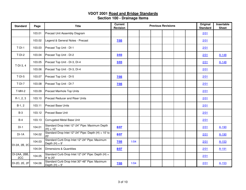| <b>Standard</b>     | Page   | <b>Title</b>                                                       | <b>Current</b><br><b>Revision</b> |      | <b>Previous Revisions</b> |  | Original<br><b>Standard</b> | Insertable<br><b>Sheet</b> |           |
|---------------------|--------|--------------------------------------------------------------------|-----------------------------------|------|---------------------------|--|-----------------------------|----------------------------|-----------|
|                     | 103.01 | Precast Unit Assembly Diagram                                      |                                   |      |                           |  |                             | 2/01                       |           |
|                     | 103.02 | Legend & General Notes - Precast                                   | 7/05                              |      |                           |  |                             | 2/01                       |           |
| $T-DI-1$            | 103.03 | Precast Top Unit - DI-1                                            |                                   |      |                           |  |                             | 2/01                       |           |
| $T-DI-2$            | 103.04 | Precast Top Unit - DI-2                                            | 3/03                              |      |                           |  |                             | 2/01                       | $A-148$   |
| $T-DI-3, 4$         | 103.05 | Precast Top Unit - DI-3, DI-4                                      | 3/03                              |      |                           |  |                             | 2/01                       | $A-148$   |
|                     | 103.06 | Precast Top Unit - DI-3, DI-4                                      |                                   |      |                           |  |                             | 2/01                       |           |
| $T-DI-5$            | 103.07 | Precast Top Unit - DI-5                                            | 7/05                              |      |                           |  |                             | 2/01                       |           |
| $T-DI-7$            | 103.08 | Precast Top Unit - DI-7                                            | 7/05                              |      |                           |  |                             | 2/01                       |           |
| $T-MH-2$            | 103.09 | Precast Manhole Top Units                                          |                                   |      |                           |  |                             | 2/01                       |           |
| $R-1, 2, 3$         | 103.10 | <b>Precast Reducer and Riser Units</b>                             |                                   |      |                           |  |                             | 2/01                       |           |
| $B-1, 2$            | 103.11 | <b>Precast Base Units</b>                                          |                                   |      |                           |  |                             | 2/01                       |           |
| $B-3$               | 103.12 | Precast Base Unit                                                  |                                   |      |                           |  |                             | 2/01                       |           |
| $B-4$               | 103.13 | Corrugated Metal Base Unit                                         |                                   |      |                           |  |                             | 2/01                       |           |
| $DI-1$              | 104.01 | Standard Drop Inlet 12"-24" Pipe: Maximum Depth<br>$(H) = 10'$     | 8/07                              |      |                           |  |                             | 2/01                       | A-190     |
| $DI-1A$             | 104.02 | Standard Drop Inlet 12"-24" Pipe: Depth $(H) = 10'$ to<br>20'      | 8/07                              |      |                           |  |                             | 2/01                       | A-190     |
| DI-2A, 2B, 2C       | 104.03 | Standard Curb Drop Inlet 12"-24" Pipe: Maximum<br>Depth $(H) = 9'$ | 7/05                              | 1/04 |                           |  |                             | 2/01                       | $A - 153$ |
|                     | 104.04 | Dimensions & Quantities                                            | 8/07                              |      |                           |  |                             | 2/01                       | A-191     |
| DI-2AA, 2BB,<br>2CC | 104.05 | Standard Curb Drop Inlet 12"-24" Pipe: Depth (H) =<br>9' to 20'    |                                   |      |                           |  |                             | 2/01                       |           |
| DI-2D, 2E, 2F       | 104.06 | Standard Curb Drop Inlet 30"-48" Pipe: Maximum<br>Depth $(H) = 9'$ | 7/05                              | 1/04 |                           |  |                             | 2/01                       | $A - 153$ |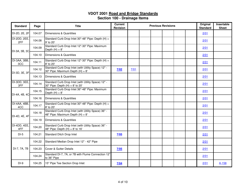| <b>Standard</b>     | Page   | <b>Title</b>                                                                              | <b>Current</b><br><b>Revision</b> |      | <b>Previous Revisions</b> |  | Original<br><b>Standard</b> | Insertable<br><b>Sheet</b> |
|---------------------|--------|-------------------------------------------------------------------------------------------|-----------------------------------|------|---------------------------|--|-----------------------------|----------------------------|
| DI-2D, 2E, 2F       | 104.07 | Dimensions & Quantities                                                                   |                                   |      |                           |  | 2/01                        |                            |
| DI-2DD, 2EE,<br>2FF | 104.08 | Standard Curb Drop Inlet 30"-48" Pipe: Depth (H) =<br>9' to 20'                           |                                   |      |                           |  | 2/01                        |                            |
| DI-3A, 3B, 3C       | 104.09 | Standard Curb Drop Inlet 12"-30" Pipe: Maximum<br>Depth $(H) = 8'$                        |                                   |      |                           |  | 2/01                        |                            |
|                     | 104.10 | Dimensions & Quantities                                                                   |                                   |      |                           |  | 2/01                        |                            |
| DI-3AA, 3BB,<br>3CC | 104.11 | Standard Curb Drop Inlet 12"-30" Pipe: Depth (H) =<br>8' to 20'                           |                                   |      |                           |  | 2/01                        |                            |
| DI-3D, 3E, 3F       | 104.12 | Standard Curb Drop Inlet (with Utility Space) 12" -<br>30" Pipe: Maximum Depth (H) = 8'   | 7/02                              | 7/01 |                           |  | 2/01                        |                            |
|                     | 104.13 | Dimensions & Quantities                                                                   |                                   |      |                           |  | 2/01                        |                            |
| DI-3DD, 3EE,<br>3FF | 104.14 | Standard Curb Drop Inlet (with Utility Space) 12" -<br>30" Pipe: Depth $(H) = 8'$ to 20'  |                                   |      |                           |  | 2/01                        |                            |
| DI-4A, 4B, 4C       | 104.15 | Standard Curb Drop Inlet 36"-48" Pipe: Maximum<br>Depth $(H) = 8'$                        |                                   |      |                           |  | 2/01                        |                            |
|                     | 104.16 | Dimensions & Quantities                                                                   |                                   |      |                           |  | 2/01                        |                            |
| DI-4AA, 4BB.<br>4CC | 104.17 | Standard Curb Drop Inlet 30"-48" Pipe: Depth (H) =<br>8' to 20'                           |                                   |      |                           |  | 2/01                        |                            |
| DI-4D, 4E, 4F       | 104.18 | Standard Curb Drop Inlet (with Utility Space) 36" -<br>48" Pipe: Maximum Depth $(H) = 8'$ |                                   |      |                           |  | 2/01                        |                            |
|                     | 104.19 | Dimensions & Quantities                                                                   |                                   |      |                           |  | 2/01                        |                            |
| DI-4DD, 4EE,<br>4FF | 104.20 | Standard Curb Drop Inlet (with Utility Space) 36" -<br>48" Pipe: Depth $(H) = 8'$ to 16'  |                                   |      |                           |  | 2/01                        |                            |
| $DI-5$              | 104.21 | Standard Ditch Drop Inlet                                                                 | 7/05                              |      |                           |  | 2/01                        |                            |
|                     | 104.22 | Standard Median Drop Inlet 12" - 42" Pipe                                                 |                                   |      |                           |  | 2/01                        |                            |
| DI-7, 7A, 7B        | 104.23 | Cover & Gutter Details                                                                    | 7/05                              |      |                           |  | 2/01                        |                            |
|                     | 104.24 | Standard DI-7, 7A, or 7B with Flume Connection 12"<br>to 36" Pipe                         |                                   |      |                           |  | 2/01                        |                            |
| $DI-9$              | 104.25 | 15" Pipe Tee Section Drop Inlet                                                           | 7/04                              |      |                           |  | 2/01                        | A-158                      |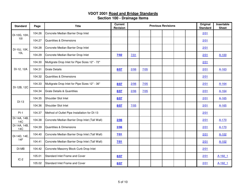| <b>Standard</b>            | Page   | <b>Title</b>                                   | <b>Current</b><br>Revision |      |      | <b>Previous Revisions</b> |  | Original<br><b>Standard</b> | Insertable<br><b>Sheet</b> |
|----------------------------|--------|------------------------------------------------|----------------------------|------|------|---------------------------|--|-----------------------------|----------------------------|
| DI-10G, 10H,               | 104.26 | Concrete Median Barrier Drop Inlet             |                            |      |      |                           |  | 2/01                        |                            |
| 101                        | 104.27 | Quantities & Dimensions                        |                            |      |      |                           |  | 2/01                        |                            |
| DI-10J, 10K,               | 104.28 | Concrete Median Barrier Drop Inlet             |                            |      |      |                           |  | 2/01                        |                            |
| 10L                        | 104.29 | Concrete Median Barrier Drop Inlet             | 7/02                       | 7/01 |      |                           |  | 2/01                        | $A-100$                    |
|                            | 104.30 | Multigrate Drop Inlet for Pipe Sizes 12" - 72" |                            |      |      |                           |  | 2/01                        |                            |
| DI-12, 12A                 | 104.31 | <b>Grate Details</b>                           | 8/07                       | 2/06 | 7/05 |                           |  | 2/01                        | A-163                      |
|                            | 104.32 | Quantities & Dimensions                        |                            |      |      |                           |  | 2/01                        |                            |
|                            | 104.33 | Multigrate Drop Inlet for Pipe Sizes 12" - 36" | 8/07                       | 2/06 | 7/05 |                           |  | 2/01                        | A-164                      |
| DI-12B, 12C                | 104.34 | <b>Grate Details &amp; Quantities</b>          | 8/07                       | 2/06 | 7/05 |                           |  | 2/01                        | A-164                      |
| $DI-13$                    | 104.35 | Shoulder Slot Inlet                            | 8/07                       |      |      |                           |  | 2/01                        | A-165                      |
|                            | 104.36 | Shoulder Slot Inlet                            | 8/07                       | 7/05 |      |                           |  | 2/01                        | $A - 165$                  |
| $PI-1$                     | 104.37 | Method of Outlet Pipe Installation for DI-13   |                            |      |      |                           |  | 2/01                        |                            |
| DI-14A, 14B,<br><b>14C</b> | 104.38 | Concrete Median Barrier Drop Inlet (Tall Wall) | 2/06                       |      |      |                           |  | 2/01                        | A-170                      |
| DI-14A, 14B,<br>14C        | 104.39 | <b>Quantities &amp; Dimensions</b>             | 2/06                       |      |      |                           |  | 2/01                        | A-170                      |
| DI-14D, 14E,               | 104.40 | Concrete Median Barrier Drop Inlet (Tall Wall) | 7/01                       |      |      |                           |  | 2/01                        | $A-102$                    |
| <b>14F</b>                 | 104.41 | Concrete Median Barrier Drop Inlet (Tall Wall) | 7/01                       |      |      |                           |  | 2/01                        | $A-102$                    |
| DI-MB                      | 104.42 | Concrete Masonry Block Curb Drop Inlet         |                            |      |      |                           |  | 2/01                        |                            |
| $IC-2$                     | 105.01 | Standard Inlet Frame and Cover                 | 8/07                       |      |      |                           |  | 2/01                        | A-192 1                    |
|                            | 105.02 | Standard Inlet Frame and Cover                 | 8/07                       |      |      |                           |  | 2/01                        | A-192 1                    |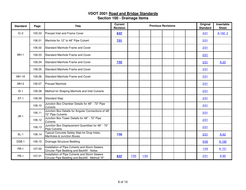| <b>Standard</b> | Page   | <b>Title</b>                                                                                      | <b>Current</b><br><b>Revision</b> |      |        | <b>Previous Revisions</b> |  | Original<br><b>Standard</b> | Insertable<br><b>Sheet</b> |
|-----------------|--------|---------------------------------------------------------------------------------------------------|-----------------------------------|------|--------|---------------------------|--|-----------------------------|----------------------------|
| $IC-2$          | 105.03 | <b>Precast Inlet and Frame Cover</b>                                                              | 8/07                              |      |        |                           |  | 2/01                        | A-192 2                    |
|                 | 106.01 | Manhole for 12" to 48" Pipe Culvert                                                               | 7/01                              |      |        |                           |  | 2/01                        |                            |
|                 | 106.02 | Standard Manhole Frame and Cover                                                                  |                                   |      |        |                           |  | 2/01                        |                            |
| $MH-1$          | 106.03 | Standard Manhole Frame and Cover                                                                  |                                   |      |        |                           |  | 2/01                        |                            |
|                 | 106.04 | Standard Manhole Frame and Cover                                                                  | 7/02                              |      |        |                           |  | 2/01                        | $A-20$                     |
|                 | 106.05 | Standard Manhole Frame and Cover                                                                  |                                   |      |        |                           |  | 2/01                        |                            |
| MH-1A           | 106.06 | Standard Manhole Frame and Cover                                                                  |                                   |      |        |                           |  | 2/01                        |                            |
| $MH-2$          | 106.07 | <b>Precast Manhole</b>                                                                            |                                   |      |        |                           |  | 2/01                        |                            |
| $IS-1$          | 106.08 | Method for Shaping Manhole and Inlet Culverts                                                     |                                   |      |        |                           |  | 2/01                        |                            |
| $ST-1$          | 106.09 | <b>Standard Step</b>                                                                              |                                   |      |        |                           |  | 2/01                        |                            |
|                 | 106.10 | Junction Box Chamber Details for 48" - 72" Pipe<br><b>Culverts</b>                                |                                   |      |        |                           |  | 2/01                        |                            |
| $JB-1$          | 106.11 | Junction Box Details for Angular Connections of 48"<br>72" Pipe Culverts                          |                                   |      |        |                           |  | 2/01                        |                            |
|                 | 106.12 | Junction Box Tower Details for 48" - 72" Pipe<br><b>Culverts</b>                                  |                                   |      |        |                           |  | 2/01                        |                            |
|                 | 106.13 | Junction Box Displacement Quantities for 48" - 72"<br><b>Pipe Culverts</b>                        |                                   |      |        |                           |  | 2/01                        |                            |
| $SL-1$          | 106.14 | Typical Concrete Safety Slab for Drop Inlets,<br>Manholes & Junction Boxes                        | 7/05                              |      |        |                           |  | 2/01                        | $A-62$                     |
| DSB-1           | 106.15 | Drainage Structure Bedding                                                                        |                                   |      |        |                           |  | 9/06                        | $A - 186$                  |
| <b>PB-1</b>     | 107.00 | Installation of Pipe Culverts and Storm Sewers<br>Circular Pipe Bedding and Backfill - Notes      |                                   |      |        |                           |  | $1/04$                      | $A-151$                    |
| <b>PB-1</b>     | 107.01 | Installation of Pipe Culverts and Storm Sewers<br>Circular Pipe Bedding and Backfill - Method "A" | 8/07                              | 7/05 | $1/04$ |                           |  | 2/01                        | $A-86$                     |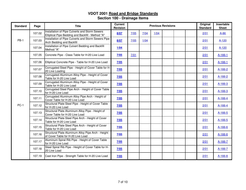| <b>Standard</b> | Page   | <b>Title</b>                                                                                        | <b>Current</b><br>Revision |      |      |      | <b>Previous Revisions</b> |  | Original<br><b>Standard</b> | Insertable<br><b>Sheet</b> |
|-----------------|--------|-----------------------------------------------------------------------------------------------------|----------------------------|------|------|------|---------------------------|--|-----------------------------|----------------------------|
|                 | 107.02 | Installation of Pipe Culverts and Storm Sewers<br>Elliptical Pipe Bedding and Backfill - Method "A" | 8/07                       | 7/05 | 7/04 | 1/04 |                           |  | 2/01                        | $A-86$                     |
| <b>PB-1</b>     | 107.03 | Installation of Pipe Culverts and Storm Sewers Pipe<br>Arch Bedding and Backfill                    | 8/07                       | 7/05 | 1/04 |      |                           |  | 2/01                        | $A-120$                    |
|                 | 107.04 | Installation of Pipe Culvert Bedding and Backfill<br>Method "A"                                     | 1/04                       |      |      |      |                           |  | 2/01                        | $A-120$                    |
|                 | 107.05 | Concrete Pipe - Class Table for H-20 Live Load                                                      | 7/05                       | 7/01 |      |      |                           |  | 2/01                        | $A-166-1$                  |
|                 | 107.06 | Elliptical Concrete Pipe - Table for H-20 Live Load                                                 | 7/05                       |      |      |      |                           |  | 2/01                        | $A-166-1$                  |
|                 | 107.07 | Corrugated Steel Pipe - Height of Cover Table for H-<br>20 Live Loading                             | 7/05                       |      |      |      |                           |  | 2/01                        | $A-166-2$                  |
|                 | 107.08 | Corrugated Aluminum Alloy Pipe - Height of Cover<br>Table for H-20 Live Load                        | 7/05                       |      |      |      |                           |  | 2/01                        | A-166-2                    |
|                 | 107.09 | Corrugated Aluminum Alloy Pipe - Height of Cover<br>Table for H-20 Live Load                        | 7/05                       |      |      |      |                           |  | 2/01                        | A-166-3                    |
|                 | 107.10 | Corrugated Steel Pipe Arch - Height of Cover Table<br>for H-20 Live Load                            | 7/05                       |      |      |      |                           |  | 2/01                        | A-166-3                    |
|                 | 107.11 | Corrugated Aluminum Alloy Pipe Arch - Height of<br>Cover Table for H-20 Live Load                   | 7/05                       |      |      |      |                           |  | 2/01                        | A-166-4                    |
| $PC-1$          | 107.12 | Structural Plate Steel Pipe - Height of Cover Table<br>for H-20 Live Load                           | 7/05                       |      |      |      |                           |  | 2/01                        | $A - 166 - 4$              |
|                 | 107.13 | Structural Plate Aluminum Alloy Pipe - Height of<br>Cover Table for H-20 Live Load                  | 7/05                       |      |      |      |                           |  | 2/01                        | $A-166-5$                  |
|                 | 107.14 | Structural Plate Steel Pipe Arch - Height of Cover<br>Table for H-20 Live Load                      | 7/05                       |      |      |      |                           |  | 2/01                        | A-166-5                    |
|                 | 107.15 | Structural Plate Steel Pipe Arch - Height of Cover<br>Table for H-20 Live Load                      | 7/05                       |      |      |      |                           |  | 2/01                        | A-166-6                    |
|                 | 107.16 | Structural Plate Aluminum Alloy Pipe Arch - Height<br>of Cover Table for H-20 Live Load             | 7/05                       |      |      |      |                           |  | 2/01                        | $A - 166 - 6$              |
|                 | 107.17 | Aluminum Spiral Rib Pipe - Height of Cover Table<br>for H-20 Live Load                              | 7/05                       |      |      |      |                           |  | 2/01                        | A-166-7                    |
|                 | 107.18 | Steel Spiral Rib Pipe - Height of Cover Table for H-<br>20 Live Load                                | 7/05                       |      |      |      |                           |  | 2/01                        | $A-166-7$                  |
|                 | 107.19 | Cast Iron Pipe - Strength Table for H-20 Live Load                                                  | 7/05                       |      |      |      |                           |  | 2/01                        | A-166-8                    |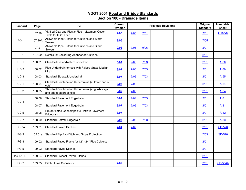| <b>Standard</b> | Page    | <b>Title</b>                                                              | <b>Current</b><br>Revision |      |                | <b>Previous Revisions</b> |  | Original<br><b>Standard</b> | Insertable<br><b>Sheet</b> |
|-----------------|---------|---------------------------------------------------------------------------|----------------------------|------|----------------|---------------------------|--|-----------------------------|----------------------------|
|                 | 107.20  | Vitrified Clay and Plastic Pipe - Maximum Cover<br>Table for H-20 Load    | 9/06                       | 7/05 | 7/01           |                           |  | 2/01                        | A-166-8                    |
| $PC-1$          | 107.20A | Allowable Pipe Criteria for Culverts and Storm<br><b>Sewers</b>           | 9/06                       |      |                |                           |  | 7/05                        |                            |
|                 | 107.21  | Allowable Pipe Criteria for Culverts and Storm<br><b>Sewers</b>           | 2/08                       | 7/05 | 9/06           |                           |  | 2/01                        |                            |
| $PP-1$          | 107.22  | Details for Backfilling Abandoned Culverts                                |                            |      |                |                           |  | 2/01                        |                            |
| $UD-1$          | 108.01  | Standard Groundwater Underdrain                                           | 8/07                       | 2/06 | 7/03           |                           |  | 2/01                        | $A-80$                     |
| $UD-2$          | 108.02  | Pipe Underdrain for use with Raised Grass Median<br><b>Strips</b>         | 8/07                       | 2/06 | 7/03           |                           |  | 2/01                        | $A-80$                     |
| $UD-3$          | 108.03  | Standard Sidewalk Underdrain                                              | 8/07                       | 2/06 | $\frac{7}{03}$ |                           |  | 2/01                        | $A-55$                     |
| $CD-1$          | 108.04  | Standard Combination Underdrains (at lower end of<br>cuts)                | 8/07                       | 7/03 |                |                           |  | 2/01                        | $A-84$                     |
| $CD-2$          | 108.05  | Standard Combination Underdrains (at grade sags<br>and bridge approaches) | 8/07                       | 7/03 |                |                           |  | 2/01                        | $A-84$                     |
| $UD-4$          | 108.06  | Standard Pavement Edgedrain                                               | 8/07                       | 1/04 | 7/03           |                           |  | 2/01                        | $A-81$                     |
|                 | 108.07  | Standard Pavement Edgedrain                                               | 8/07                       | 2/06 | 7/03           |                           |  | 2/01                        | $A-81$                     |
| $UD-5$          | 108.08  | Prefabricated Geocomposite Retrofit Pavement<br>Edgedrain                 | 8/07                       |      |                |                           |  | 2/01                        | $A-82$                     |
| $UD-7$          | 108.09  | Standard Retrofit Edgedrain                                               | 8/07                       | 2/06 | 7/03           |                           |  | 2/01                        | $A-83$                     |
| PG-2A           | 109.01  | <b>Standard Paved Ditches</b>                                             | 7/04                       | 7/02 |                |                           |  | 2/01                        | <b>ISD-570</b>             |
| $PG-3$          | 109.01a | Standard Rip Rap Ditch and Slope Protection                               |                            |      |                |                           |  | 7/03                        | <b>ISD-570</b>             |
| $PG-4$          | 109.02  | Standard Paved Flume for 12" - 24" Pipe Culverts                          |                            |      |                |                           |  | 2/01                        |                            |
| <b>PG-5</b>     | 109.03  | <b>Standard Paved Ditches</b>                                             |                            |      |                |                           |  | 2/01                        |                            |
| PG-6A, 6B       | 109.04  | <b>Standard Precast Paved Ditches</b>                                     |                            |      |                |                           |  | 2/01                        |                            |
| <b>PG-7</b>     | 109.05  | Ditch Flume Connector                                                     | 7/02                       |      |                |                           |  | 2/01                        | <b>ISD-564A</b>            |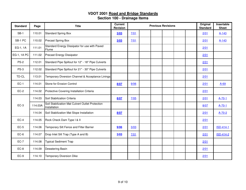| <b>Standard</b> | Page    | <b>Title</b>                                                     | <b>Current</b><br>Revision |      | <b>Previous Revisions</b> |  | Original<br><b>Standard</b> | Insertable<br><b>Sheet</b> |
|-----------------|---------|------------------------------------------------------------------|----------------------------|------|---------------------------|--|-----------------------------|----------------------------|
| $SB-1$          | 110.01  | <b>Standard Spring Box</b>                                       | 3/03                       | 7/01 |                           |  | 2/01                        | $A-143$                    |
| SB-1 PC         | 110.02  | <b>Precast Spring Box</b>                                        | 3/03                       | 7/01 |                           |  | 2/01                        | $A - 143$                  |
| EG-1, 1A        | 111.01  | Standard Energy Dissipator for use with Paved<br>Flume           |                            |      |                           |  | 2/01                        |                            |
| EG-1, 1A PC     | 111.02  | Precast Energy Dissipator                                        |                            |      |                           |  | 2/01                        |                            |
| $PS-2$          | 112.01  | Standard Pipe Spillout for 12" - 18" Pipe Culverts               |                            |      |                           |  | 2/01                        |                            |
| $PS-3$          | 112.02  | Standard Pipe Spillout for 21" - 30" Pipe Culverts               |                            |      |                           |  | 2/01                        |                            |
| TD-CL           | 113.01  | Temporary Diversion Channel & Acceptance Linings                 |                            |      |                           |  | 2/01                        |                            |
| $EC-1$          | 114.01  | Stone for Erosion Control                                        | 8/07                       | 9/06 |                           |  | 2/01                        | $A-69$                     |
| $EC-2$          | 114.02  | Protective Covering Installation Criteria                        |                            |      |                           |  | 2/01                        |                            |
|                 | 114.03  | Soil Stabilization Criteria                                      | 8/07                       | 7/05 |                           |  | 2/01                        | $A-70-1$                   |
| $EC-3$          | 114.03A | Soil Stabilization Mat Culvert Outlet Protection<br>Installation |                            |      |                           |  | 8/07                        | $A-70-1$                   |
|                 | 114.04  | Soil Stabilization Mat Slope Installation                        | 8/07                       |      |                           |  | 2/01                        | $A - 70 - 2$               |
| $EC-4$          | 114.05  | Rock Check Dam Type I & II                                       |                            |      |                           |  | 2/01                        |                            |
| $EC-5$          | 114.06  | Temporary Silt Fence and Filter Barrier                          | 9/06                       | 3/03 |                           |  | 2/01                        | <b>ISD-414-1</b>           |
| $EC-6$          | 114.07  | Drop Inlet Silt Trap (Type A and B)                              | 3/03                       | 7/01 |                           |  | 2/01                        | <b>ISD-414-2</b>           |
| $EC-7$          | 114.08  | <b>Typical Sediment Trap</b>                                     |                            |      |                           |  | 2/01                        |                            |
| $EC-8$          | 114.09  | Dewatering Basin                                                 |                            |      |                           |  | 2/01                        |                            |
| $EC-9$          | 114.10  | <b>Temporary Diversion Dike</b>                                  |                            |      |                           |  | 2/01                        |                            |